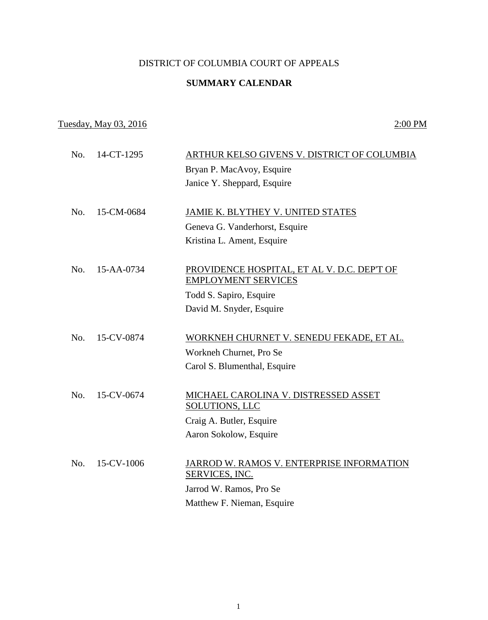## DISTRICT OF COLUMBIA COURT OF APPEALS

## **SUMMARY CALENDAR**

## Tuesday, May 03, 2016 2:00 PM

| No. | 14-CT-1295 | ARTHUR KELSO GIVENS V. DISTRICT OF COLUMBIA                               |
|-----|------------|---------------------------------------------------------------------------|
|     |            | Bryan P. MacAvoy, Esquire                                                 |
|     |            | Janice Y. Sheppard, Esquire                                               |
|     |            |                                                                           |
| No. | 15-CM-0684 | JAMIE K. BLYTHEY V. UNITED STATES                                         |
|     |            | Geneva G. Vanderhorst, Esquire                                            |
|     |            | Kristina L. Ament, Esquire                                                |
|     |            |                                                                           |
| No. | 15-AA-0734 | PROVIDENCE HOSPITAL, ET AL V. D.C. DEP'T OF<br><b>EMPLOYMENT SERVICES</b> |
|     |            | Todd S. Sapiro, Esquire                                                   |
|     |            | David M. Snyder, Esquire                                                  |
|     |            |                                                                           |
| No. | 15-CV-0874 | WORKNEH CHURNET V. SENEDU FEKADE, ET AL.                                  |
|     |            | Workneh Churnet, Pro Se                                                   |
|     |            | Carol S. Blumenthal, Esquire                                              |
|     |            |                                                                           |
| No. | 15-CV-0674 | MICHAEL CAROLINA V. DISTRESSED ASSET<br>SOLUTIONS, LLC                    |
|     |            | Craig A. Butler, Esquire                                                  |
|     |            | Aaron Sokolow, Esquire                                                    |
|     |            |                                                                           |
| No. | 15-CV-1006 | JARROD W. RAMOS V. ENTERPRISE INFORMATION<br>SERVICES, INC.               |
|     |            | Jarrod W. Ramos, Pro Se                                                   |
|     |            | Matthew F. Nieman, Esquire                                                |
|     |            |                                                                           |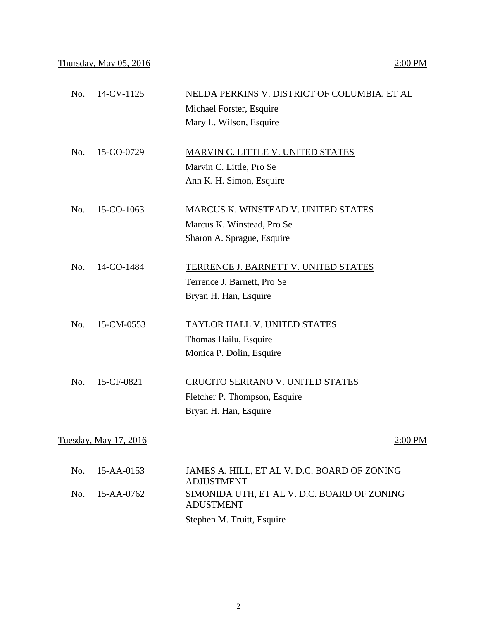| No. | 14-CV-1125            | NELDA PERKINS V. DISTRICT OF COLUMBIA, ET AL                                         |
|-----|-----------------------|--------------------------------------------------------------------------------------|
|     |                       | Michael Forster, Esquire                                                             |
|     |                       | Mary L. Wilson, Esquire                                                              |
| No. | 15-CO-0729            | MARVIN C. LITTLE V. UNITED STATES                                                    |
|     |                       | Marvin C. Little, Pro Se                                                             |
|     |                       | Ann K. H. Simon, Esquire                                                             |
| No. | 15-CO-1063            | MARCUS K. WINSTEAD V. UNITED STATES                                                  |
|     |                       | Marcus K. Winstead, Pro Se                                                           |
|     |                       | Sharon A. Sprague, Esquire                                                           |
| No. | 14-CO-1484            | TERRENCE J. BARNETT V. UNITED STATES                                                 |
|     |                       | Terrence J. Barnett, Pro Se                                                          |
|     |                       | Bryan H. Han, Esquire                                                                |
| No. | 15-CM-0553            | <b>TAYLOR HALL V. UNITED STATES</b>                                                  |
|     |                       | Thomas Hailu, Esquire                                                                |
|     |                       | Monica P. Dolin, Esquire                                                             |
| No. | 15-CF-0821            | CRUCITO SERRANO V. UNITED STATES                                                     |
|     |                       | Fletcher P. Thompson, Esquire                                                        |
|     |                       | Bryan H. Han, Esquire                                                                |
|     | Tuesday, May 17, 2016 | 2:00 PM                                                                              |
| No. | 15-AA-0153            | JAMES A. HILL, ET AL V. D.C. BOARD OF ZONING                                         |
| No. | 15-AA-0762            | <b>ADJUSTMENT</b><br>SIMONIDA UTH, ET AL V. D.C. BOARD OF ZONING<br><b>ADUSTMENT</b> |
|     |                       | Stephen M. Truitt, Esquire                                                           |
|     |                       |                                                                                      |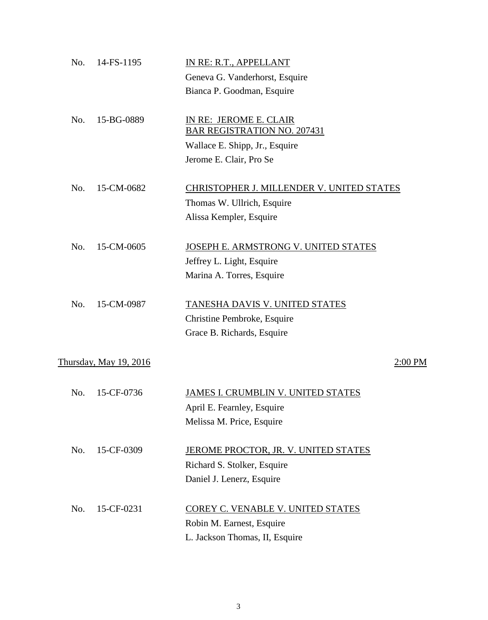| No. | 14-FS-1195             | IN RE: R.T., APPELLANT                                       |           |
|-----|------------------------|--------------------------------------------------------------|-----------|
|     |                        | Geneva G. Vanderhorst, Esquire                               |           |
|     |                        | Bianca P. Goodman, Esquire                                   |           |
| No. | 15-BG-0889             | IN RE: JEROME E. CLAIR<br><b>BAR REGISTRATION NO. 207431</b> |           |
|     |                        | Wallace E. Shipp, Jr., Esquire                               |           |
|     |                        | Jerome E. Clair, Pro Se                                      |           |
| No. | 15-CM-0682             | CHRISTOPHER J. MILLENDER V. UNITED STATES                    |           |
|     |                        | Thomas W. Ullrich, Esquire                                   |           |
|     |                        | Alissa Kempler, Esquire                                      |           |
| No. | 15-CM-0605             | JOSEPH E. ARMSTRONG V. UNITED STATES                         |           |
|     |                        | Jeffrey L. Light, Esquire                                    |           |
|     |                        | Marina A. Torres, Esquire                                    |           |
| No. | 15-CM-0987             | TANESHA DAVIS V. UNITED STATES                               |           |
|     |                        | Christine Pembroke, Esquire                                  |           |
|     |                        | Grace B. Richards, Esquire                                   |           |
|     | Thursday, May 19, 2016 |                                                              | $2:00$ PM |
| No. | 15-CF-0736             | JAMES I. CRUMBLIN V. UNITED STATES                           |           |
|     |                        | April E. Fearnley, Esquire                                   |           |
|     |                        | Melissa M. Price, Esquire                                    |           |
| No. | 15-CF-0309             | JEROME PROCTOR, JR. V. UNITED STATES                         |           |
|     |                        | Richard S. Stolker, Esquire                                  |           |
|     |                        | Daniel J. Lenerz, Esquire                                    |           |
| No. | 15-CF-0231             | COREY C. VENABLE V. UNITED STATES                            |           |
|     |                        | Robin M. Earnest, Esquire                                    |           |
|     |                        | L. Jackson Thomas, II, Esquire                               |           |